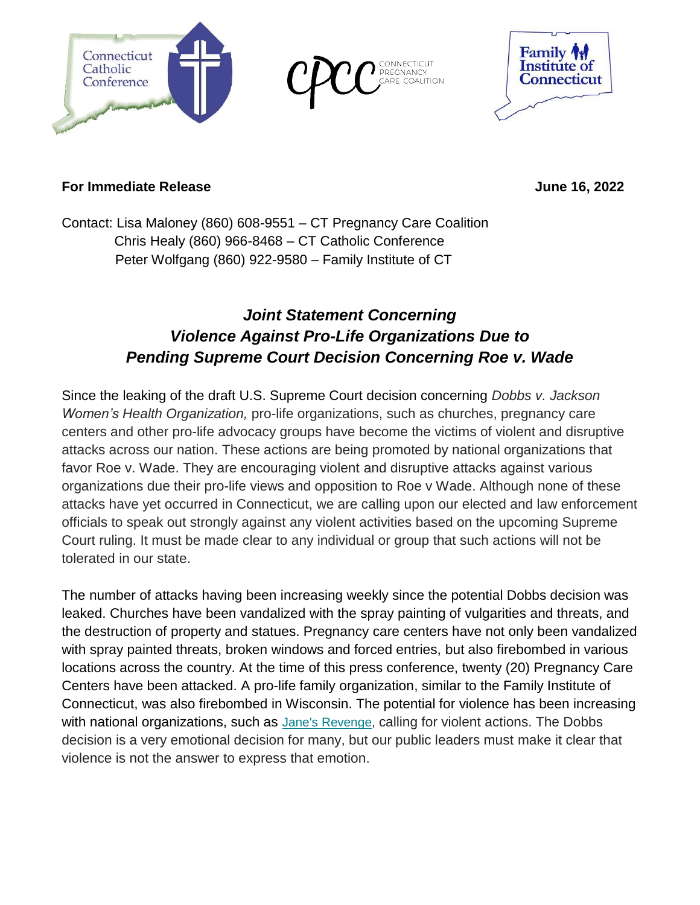

**COALITION** 



## **For Immediate Release Access 2022** June 16, 2022

Contact: Lisa Maloney (860) 608-9551 – CT Pregnancy Care Coalition Chris Healy (860) 966-8468 – CT Catholic Conference Peter Wolfgang (860) 922-9580 – Family Institute of CT

# *Joint Statement Concerning Violence Against Pro-Life Organizations Due to Pending Supreme Court Decision Concerning Roe v. Wade*

Since the leaking of the draft U.S. Supreme Court decision concerning *Dobbs v. Jackson Women's Health Organization,* pro-life organizations, such as churches, pregnancy care centers and other pro-life advocacy groups have become the victims of violent and disruptive attacks across our nation. These actions are being promoted by national organizations that favor Roe v. Wade. They are encouraging violent and disruptive attacks against various organizations due their pro-life views and opposition to Roe v Wade. Although none of these attacks have yet occurred in Connecticut, we are calling upon our elected and law enforcement officials to speak out strongly against any violent activities based on the upcoming Supreme Court ruling. It must be made clear to any individual or group that such actions will not be tolerated in our state.

The number of attacks having been increasing weekly since the potential Dobbs decision was leaked. Churches have been vandalized with the spray painting of vulgarities and threats, and the destruction of property and statues. Pregnancy care centers have not only been vandalized with spray painted threats, broken windows and forced entries, but also firebombed in various locations across the country. At the time of this press conference, twenty (20) Pregnancy Care Centers have been attacked. A pro-life family organization, similar to the Family Institute of Connecticut, was also firebombed in Wisconsin. The potential for violence has been increasing with national organizations, such as Jane's Revenge, calling for violent actions. The Dobbs decision is a very emotional decision for many, but our public leaders must make it clear that violence is not the answer to express that emotion.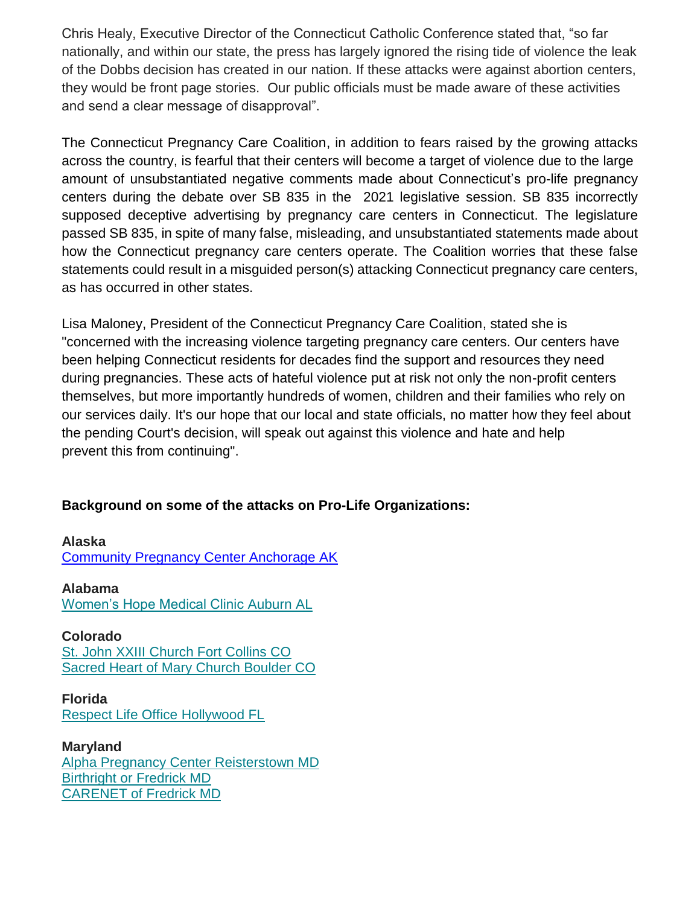Chris Healy, Executive Director of the Connecticut Catholic Conference stated that, "so far nationally, and within our state, the press has largely ignored the rising tide of violence the leak of the Dobbs decision has created in our nation. If these attacks were against abortion centers, they would be front page stories. Our public officials must be made aware of these activities and send a clear message of disapproval".

The Connecticut Pregnancy Care Coalition, in addition to fears raised by the growing attacks across the country, is fearful that their centers will become a target of violence due to the large amount of unsubstantiated negative comments made about Connecticut's pro-life pregnancy centers during the debate over SB 835 in the 2021 legislative session. SB 835 incorrectly supposed deceptive advertising by pregnancy care centers in Connecticut. The legislature passed SB 835, in spite of many false, misleading, and unsubstantiated statements made about how the Connecticut pregnancy care centers operate. The Coalition worries that these false statements could result in a misguided person(s) attacking Connecticut pregnancy care centers, as has occurred in other states.

Lisa Maloney, President of the Connecticut Pregnancy Care Coalition, stated she is "concerned with the increasing violence targeting pregnancy care centers. Our centers have been helping Connecticut residents for decades find the support and resources they need during pregnancies. These acts of hateful violence put at risk not only the non-profit centers themselves, but more importantly hundreds of women, children and their families who rely on our services daily. It's our hope that our local and state officials, no matter how they feel about the pending Court's decision, will speak out against this violence and hate and help prevent this from continuing".

### **Background on some of the attacks on Pro-Life Organizations:**

**Alaska** Community Pregnancy Center Anchorage AK

**Alabama** Women's Hope Medical Clinic Auburn AL

**Colorado** St. John XXIII Church Fort Collins CO Sacred Heart of Mary Church Boulder CO

**Florida** Respect Life Office Hollywood FL

**Maryland** Alpha Pregnancy Center Reisterstown MD Birthright or Fredrick MD CARENET of Fredrick MD